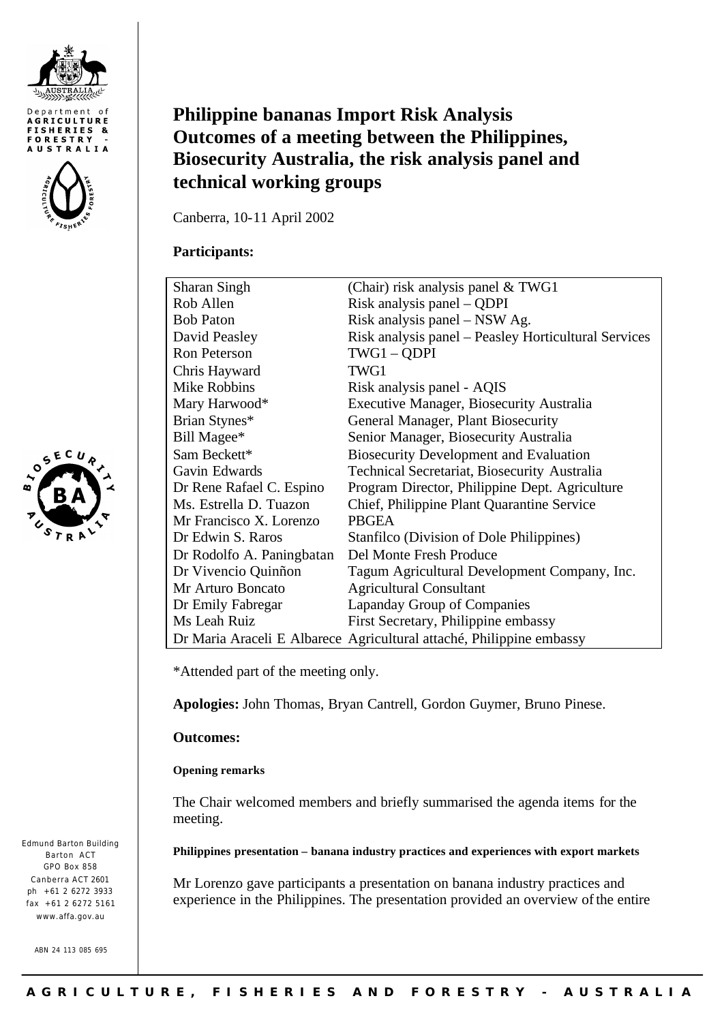





Edmund Barton Building Barton ACT GPO Box 858 Canberra ACT 2601 ph +61 2 6272 3933 fax +61 2 6272 5161 www.affa.gov.au

ABN 24 113 085 695

# **Philippine bananas Import Risk Analysis Outcomes of a meeting between the Philippines, Biosecurity Australia, the risk analysis panel and technical working groups**

Canberra, 10-11 April 2002

# **Participants:**

| <b>Sharan Singh</b>       | (Chair) risk analysis panel $& TWG1$                                 |
|---------------------------|----------------------------------------------------------------------|
| Rob Allen                 | Risk analysis panel – QDPI                                           |
| <b>Bob Paton</b>          | Risk analysis panel – NSW Ag.                                        |
| David Peasley             | Risk analysis panel – Peasley Horticultural Services                 |
| Ron Peterson              | TWG1 - QDPI                                                          |
| Chris Hayward             | TWG1                                                                 |
| Mike Robbins              | Risk analysis panel - AQIS                                           |
| Mary Harwood*             | <b>Executive Manager, Biosecurity Australia</b>                      |
| Brian Stynes*             | General Manager, Plant Biosecurity                                   |
| Bill Magee*               | Senior Manager, Biosecurity Australia                                |
| Sam Beckett*              | <b>Biosecurity Development and Evaluation</b>                        |
| Gavin Edwards             | Technical Secretariat, Biosecurity Australia                         |
| Dr Rene Rafael C. Espino  | Program Director, Philippine Dept. Agriculture                       |
| Ms. Estrella D. Tuazon    | Chief, Philippine Plant Quarantine Service                           |
| Mr Francisco X. Lorenzo   | <b>PBGEA</b>                                                         |
| Dr Edwin S. Raros         | Stanfilco (Division of Dole Philippines)                             |
| Dr Rodolfo A. Paningbatan | Del Monte Fresh Produce                                              |
| Dr Vivencio Quinñon       | Tagum Agricultural Development Company, Inc.                         |
| Mr Arturo Boncato         | <b>Agricultural Consultant</b>                                       |
| Dr Emily Fabregar         | Lapanday Group of Companies                                          |
| Ms Leah Ruiz              | First Secretary, Philippine embassy                                  |
|                           | Dr Maria Araceli E Albarece Agricultural attaché, Philippine embassy |

\*Attended part of the meeting only.

**Apologies:** John Thomas, Bryan Cantrell, Gordon Guymer, Bruno Pinese.

# **Outcomes:**

## **Opening remarks**

The Chair welcomed members and briefly summarised the agenda items for the meeting.

## **Philippines presentation – banana industry practices and experiences with export markets**

Mr Lorenzo gave participants a presentation on banana industry practices and experience in the Philippines. The presentation provided an overview of the entire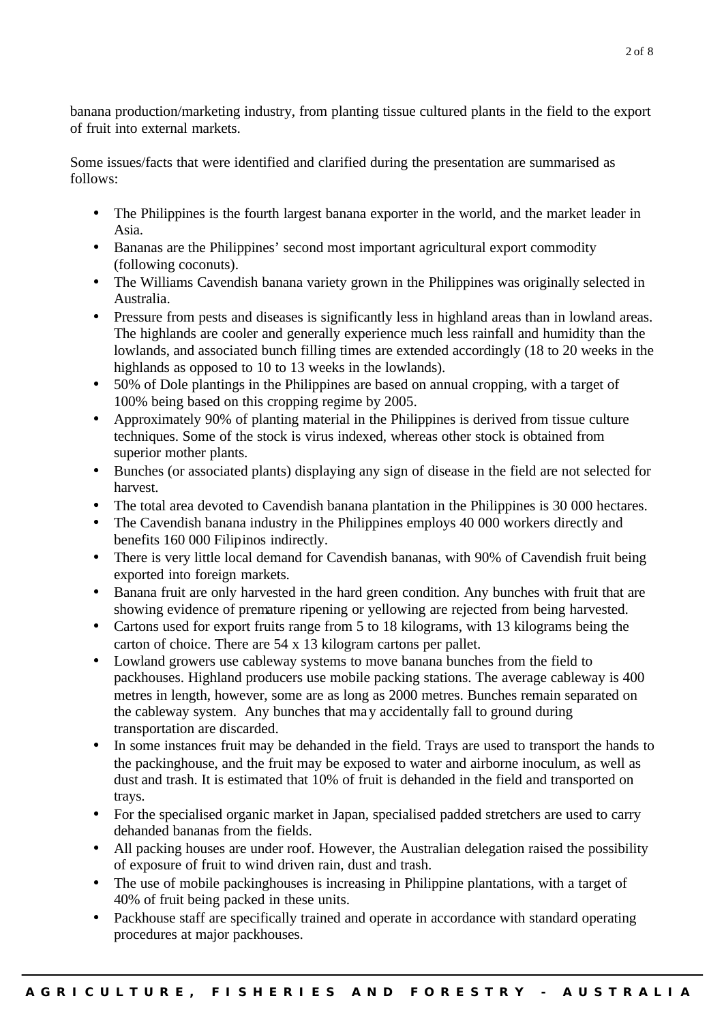banana production/marketing industry, from planting tissue cultured plants in the field to the export of fruit into external markets.

Some issues/facts that were identified and clarified during the presentation are summarised as follows:

- The Philippines is the fourth largest banana exporter in the world, and the market leader in Asia.
- Bananas are the Philippines' second most important agricultural export commodity (following coconuts).
- The Williams Cavendish banana variety grown in the Philippines was originally selected in Australia.
- Pressure from pests and diseases is significantly less in highland areas than in lowland areas. The highlands are cooler and generally experience much less rainfall and humidity than the lowlands, and associated bunch filling times are extended accordingly (18 to 20 weeks in the highlands as opposed to 10 to 13 weeks in the lowlands).
- 50% of Dole plantings in the Philippines are based on annual cropping, with a target of 100% being based on this cropping regime by 2005.
- Approximately 90% of planting material in the Philippines is derived from tissue culture techniques. Some of the stock is virus indexed, whereas other stock is obtained from superior mother plants.
- Bunches (or associated plants) displaying any sign of disease in the field are not selected for harvest.
- The total area devoted to Cavendish banana plantation in the Philippines is 30 000 hectares.
- The Cavendish banana industry in the Philippines employs 40 000 workers directly and benefits 160 000 Filipinos indirectly.
- There is very little local demand for Cavendish bananas, with 90% of Cavendish fruit being exported into foreign markets.
- Banana fruit are only harvested in the hard green condition. Any bunches with fruit that are showing evidence of premature ripening or yellowing are rejected from being harvested.
- Cartons used for export fruits range from 5 to 18 kilograms, with 13 kilograms being the carton of choice. There are 54 x 13 kilogram cartons per pallet.
- Lowland growers use cableway systems to move banana bunches from the field to packhouses. Highland producers use mobile packing stations. The average cableway is 400 metres in length, however, some are as long as 2000 metres. Bunches remain separated on the cableway system. Any bunches that may accidentally fall to ground during transportation are discarded.
- In some instances fruit may be dehanded in the field. Trays are used to transport the hands to the packinghouse, and the fruit may be exposed to water and airborne inoculum, as well as dust and trash. It is estimated that 10% of fruit is dehanded in the field and transported on trays.
- For the specialised organic market in Japan, specialised padded stretchers are used to carry dehanded bananas from the fields.
- All packing houses are under roof. However, the Australian delegation raised the possibility of exposure of fruit to wind driven rain, dust and trash.
- The use of mobile packinghouses is increasing in Philippine plantations, with a target of 40% of fruit being packed in these units.
- Packhouse staff are specifically trained and operate in accordance with standard operating procedures at major packhouses.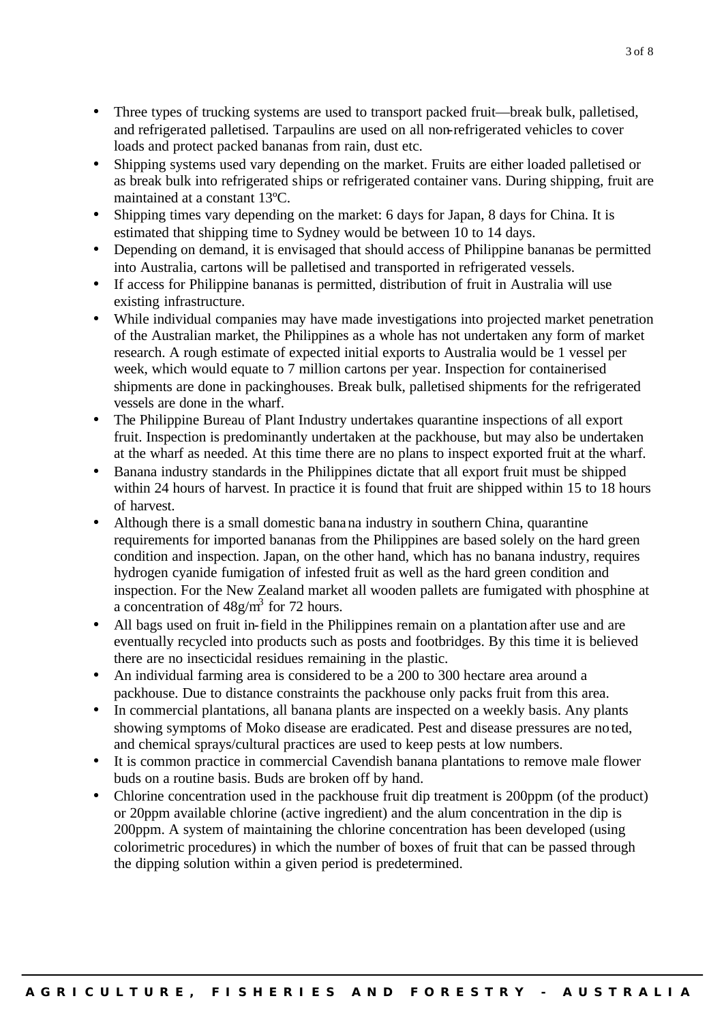- Three types of trucking systems are used to transport packed fruit—break bulk, palletised, and refrigerated palletised. Tarpaulins are used on all non-refrigerated vehicles to cover loads and protect packed bananas from rain, dust etc.
- Shipping systems used vary depending on the market. Fruits are either loaded palletised or as break bulk into refrigerated ships or refrigerated container vans. During shipping, fruit are maintained at a constant 13ºC.
- Shipping times vary depending on the market: 6 days for Japan, 8 days for China. It is estimated that shipping time to Sydney would be between 10 to 14 days.
- Depending on demand, it is envisaged that should access of Philippine bananas be permitted into Australia, cartons will be palletised and transported in refrigerated vessels.
- If access for Philippine bananas is permitted, distribution of fruit in Australia will use existing infrastructure.
- While individual companies may have made investigations into projected market penetration of the Australian market, the Philippines as a whole has not undertaken any form of market research. A rough estimate of expected initial exports to Australia would be 1 vessel per week, which would equate to 7 million cartons per year. Inspection for containerised shipments are done in packinghouses. Break bulk, palletised shipments for the refrigerated vessels are done in the wharf.
- The Philippine Bureau of Plant Industry undertakes quarantine inspections of all export fruit. Inspection is predominantly undertaken at the packhouse, but may also be undertaken at the wharf as needed. At this time there are no plans to inspect exported fruit at the wharf.
- Banana industry standards in the Philippines dictate that all export fruit must be shipped within 24 hours of harvest. In practice it is found that fruit are shipped within 15 to 18 hours of harvest.
- Although there is a small domestic banana industry in southern China, quarantine requirements for imported bananas from the Philippines are based solely on the hard green condition and inspection. Japan, on the other hand, which has no banana industry, requires hydrogen cyanide fumigation of infested fruit as well as the hard green condition and inspection. For the New Zealand market all wooden pallets are fumigated with phosphine at a concentration of  $48g/m<sup>3</sup>$  for 72 hours.
- All bags used on fruit in-field in the Philippines remain on a plantation after use and are eventually recycled into products such as posts and footbridges. By this time it is believed there are no insecticidal residues remaining in the plastic.
- An individual farming area is considered to be a 200 to 300 hectare area around a packhouse. Due to distance constraints the packhouse only packs fruit from this area.
- In commercial plantations, all banana plants are inspected on a weekly basis. Any plants showing symptoms of Moko disease are eradicated. Pest and disease pressures are noted, and chemical sprays/cultural practices are used to keep pests at low numbers.
- It is common practice in commercial Cavendish banana plantations to remove male flower buds on a routine basis. Buds are broken off by hand.
- Chlorine concentration used in the packhouse fruit dip treatment is 200 ppm (of the product) or 20ppm available chlorine (active ingredient) and the alum concentration in the dip is 200ppm. A system of maintaining the chlorine concentration has been developed (using colorimetric procedures) in which the number of boxes of fruit that can be passed through the dipping solution within a given period is predetermined.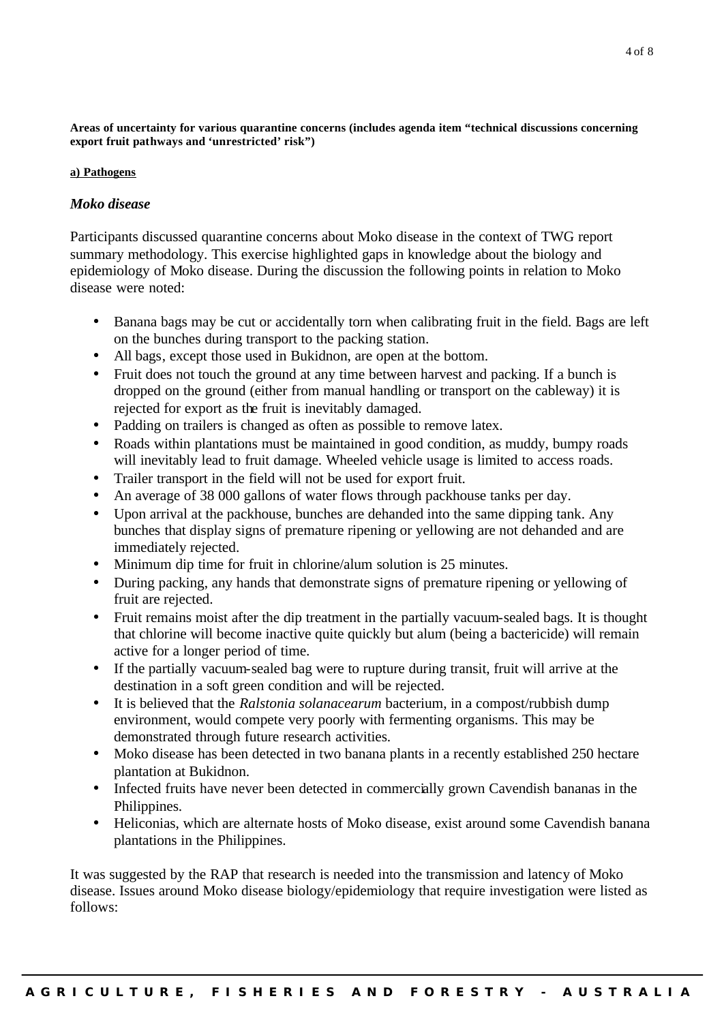**Areas of uncertainty for various quarantine concerns (includes agenda item "technical discussions concerning export fruit pathways and 'unrestricted' risk")**

#### **a) Pathogens**

#### *Moko disease*

Participants discussed quarantine concerns about Moko disease in the context of TWG report summary methodology. This exercise highlighted gaps in knowledge about the biology and epidemiology of Moko disease. During the discussion the following points in relation to Moko disease were noted:

- Banana bags may be cut or accidentally torn when calibrating fruit in the field. Bags are left on the bunches during transport to the packing station.
- All bags, except those used in Bukidnon, are open at the bottom.
- Fruit does not touch the ground at any time between harvest and packing. If a bunch is dropped on the ground (either from manual handling or transport on the cableway) it is rejected for export as the fruit is inevitably damaged.
- Padding on trailers is changed as often as possible to remove latex.
- Roads within plantations must be maintained in good condition, as muddy, bumpy roads will inevitably lead to fruit damage. Wheeled vehicle usage is limited to access roads.
- Trailer transport in the field will not be used for export fruit.
- An average of 38 000 gallons of water flows through packhouse tanks per day.
- Upon arrival at the packhouse, bunches are dehanded into the same dipping tank. Any bunches that display signs of premature ripening or yellowing are not dehanded and are immediately rejected.
- Minimum dip time for fruit in chlorine/alum solution is 25 minutes.
- During packing, any hands that demonstrate signs of premature ripening or yellowing of fruit are rejected.
- Fruit remains moist after the dip treatment in the partially vacuum-sealed bags. It is thought that chlorine will become inactive quite quickly but alum (being a bactericide) will remain active for a longer period of time.
- If the partially vacuum-sealed bag were to rupture during transit, fruit will arrive at the destination in a soft green condition and will be rejected.
- It is believed that the *Ralstonia solanacearum* bacterium, in a compost/rubbish dump environment, would compete very poorly with fermenting organisms. This may be demonstrated through future research activities.
- Moko disease has been detected in two banana plants in a recently established 250 hectare plantation at Bukidnon.
- Infected fruits have never been detected in commercially grown Cavendish bananas in the Philippines.
- Heliconias, which are alternate hosts of Moko disease, exist around some Cavendish banana plantations in the Philippines.

It was suggested by the RAP that research is needed into the transmission and latency of Moko disease. Issues around Moko disease biology/epidemiology that require investigation were listed as follows: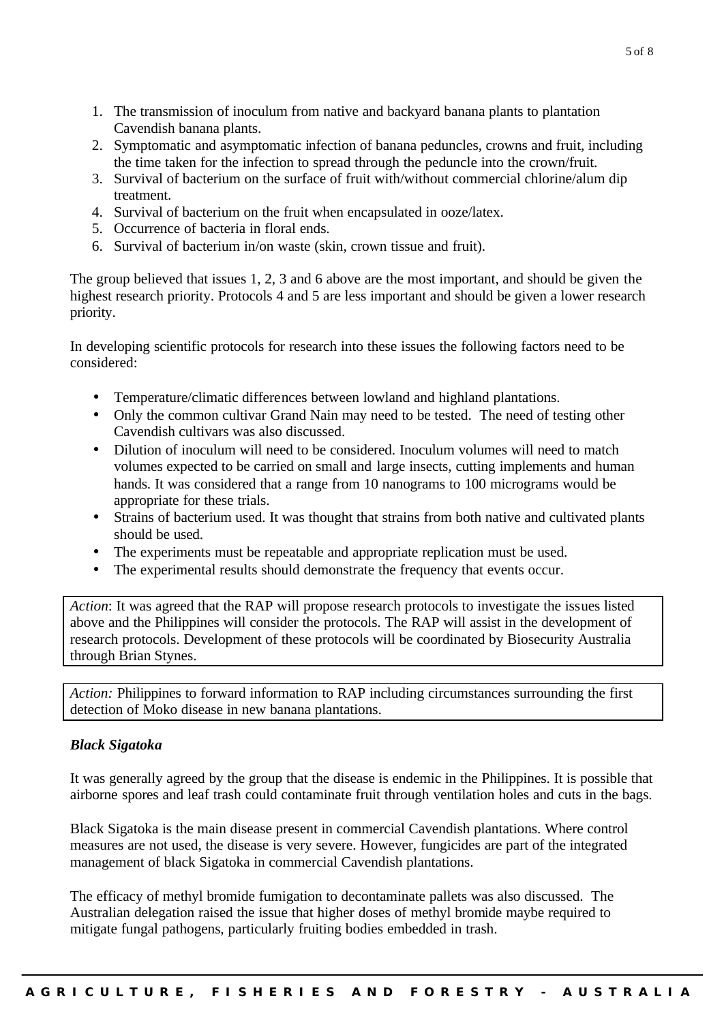- 1. The transmission of inoculum from native and backyard banana plants to plantation Cavendish banana plants.
- 2. Symptomatic and asymptomatic infection of banana peduncles, crowns and fruit, including the time taken for the infection to spread through the peduncle into the crown/fruit.
- 3. Survival of bacterium on the surface of fruit with/without commercial chlorine/alum dip treatment.
- 4. Survival of bacterium on the fruit when encapsulated in ooze/latex.
- 5. Occurrence of bacteria in floral ends.
- 6. Survival of bacterium in/on waste (skin, crown tissue and fruit).

The group believed that issues 1, 2, 3 and 6 above are the most important, and should be given the highest research priority. Protocols 4 and 5 are less important and should be given a lower research priority.

In developing scientific protocols for research into these issues the following factors need to be considered:

- Temperature/climatic differences between lowland and highland plantations.
- Only the common cultivar Grand Nain may need to be tested. The need of testing other Cavendish cultivars was also discussed.
- Dilution of inoculum will need to be considered. Inoculum volumes will need to match volumes expected to be carried on small and large insects, cutting implements and human hands. It was considered that a range from 10 nanograms to 100 micrograms would be appropriate for these trials.
- Strains of bacterium used. It was thought that strains from both native and cultivated plants should be used.
- The experiments must be repeatable and appropriate replication must be used.
- The experimental results should demonstrate the frequency that events occur.

*Action*: It was agreed that the RAP will propose research protocols to investigate the issues listed above and the Philippines will consider the protocols. The RAP will assist in the development of research protocols. Development of these protocols will be coordinated by Biosecurity Australia through Brian Stynes.

*Action:* Philippines to forward information to RAP including circumstances surrounding the first detection of Moko disease in new banana plantations.

## *Black Sigatoka*

It was generally agreed by the group that the disease is endemic in the Philippines. It is possible that airborne spores and leaf trash could contaminate fruit through ventilation holes and cuts in the bags.

Black Sigatoka is the main disease present in commercial Cavendish plantations. Where control measures are not used, the disease is very severe. However, fungicides are part of the integrated management of black Sigatoka in commercial Cavendish plantations.

The efficacy of methyl bromide fumigation to decontaminate pallets was also discussed. The Australian delegation raised the issue that higher doses of methyl bromide maybe required to mitigate fungal pathogens, particularly fruiting bodies embedded in trash.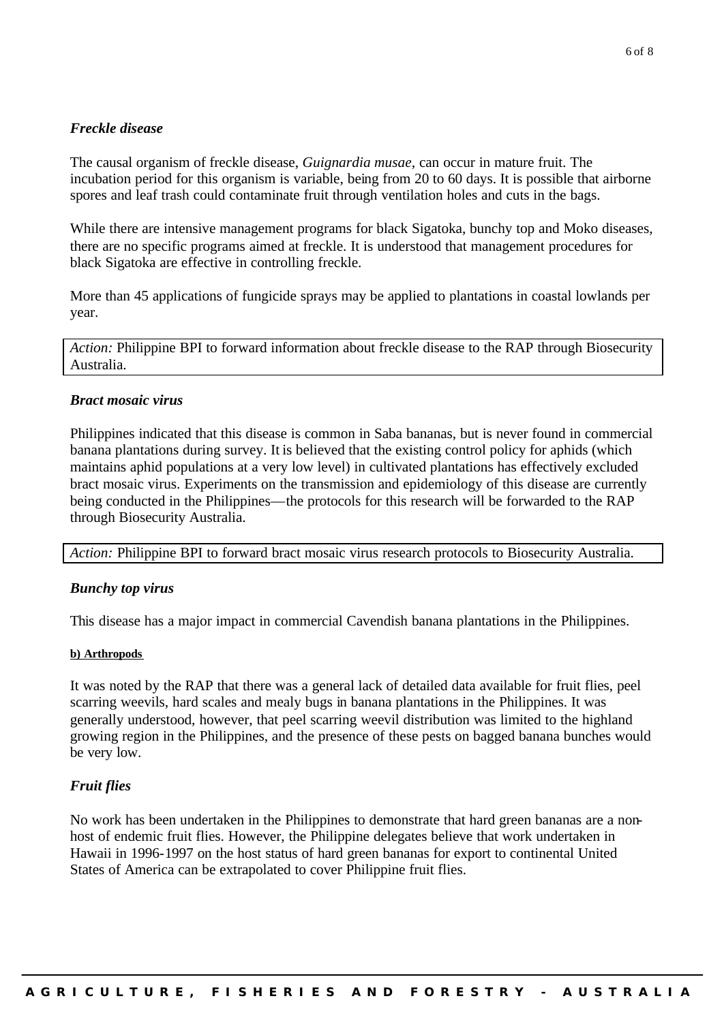# *Freckle disease*

The causal organism of freckle disease, *Guignardia musae*, can occur in mature fruit. The incubation period for this organism is variable, being from 20 to 60 days. It is possible that airborne spores and leaf trash could contaminate fruit through ventilation holes and cuts in the bags.

While there are intensive management programs for black Sigatoka, bunchy top and Moko diseases, there are no specific programs aimed at freckle. It is understood that management procedures for black Sigatoka are effective in controlling freckle.

More than 45 applications of fungicide sprays may be applied to plantations in coastal lowlands per year.

*Action:* Philippine BPI to forward information about freckle disease to the RAP through Biosecurity Australia.

#### *Bract mosaic virus*

Philippines indicated that this disease is common in Saba bananas, but is never found in commercial banana plantations during survey. It is believed that the existing control policy for aphids (which maintains aphid populations at a very low level) in cultivated plantations has effectively excluded bract mosaic virus. Experiments on the transmission and epidemiology of this disease are currently being conducted in the Philippines—the protocols for this research will be forwarded to the RAP through Biosecurity Australia.

*Action:* Philippine BPI to forward bract mosaic virus research protocols to Biosecurity Australia.

#### *Bunchy top virus*

This disease has a major impact in commercial Cavendish banana plantations in the Philippines.

#### **b) Arthropods**

It was noted by the RAP that there was a general lack of detailed data available for fruit flies, peel scarring weevils, hard scales and mealy bugs in banana plantations in the Philippines. It was generally understood, however, that peel scarring weevil distribution was limited to the highland growing region in the Philippines, and the presence of these pests on bagged banana bunches would be very low.

#### *Fruit flies*

No work has been undertaken in the Philippines to demonstrate that hard green bananas are a nonhost of endemic fruit flies. However, the Philippine delegates believe that work undertaken in Hawaii in 1996-1997 on the host status of hard green bananas for export to continental United States of America can be extrapolated to cover Philippine fruit flies.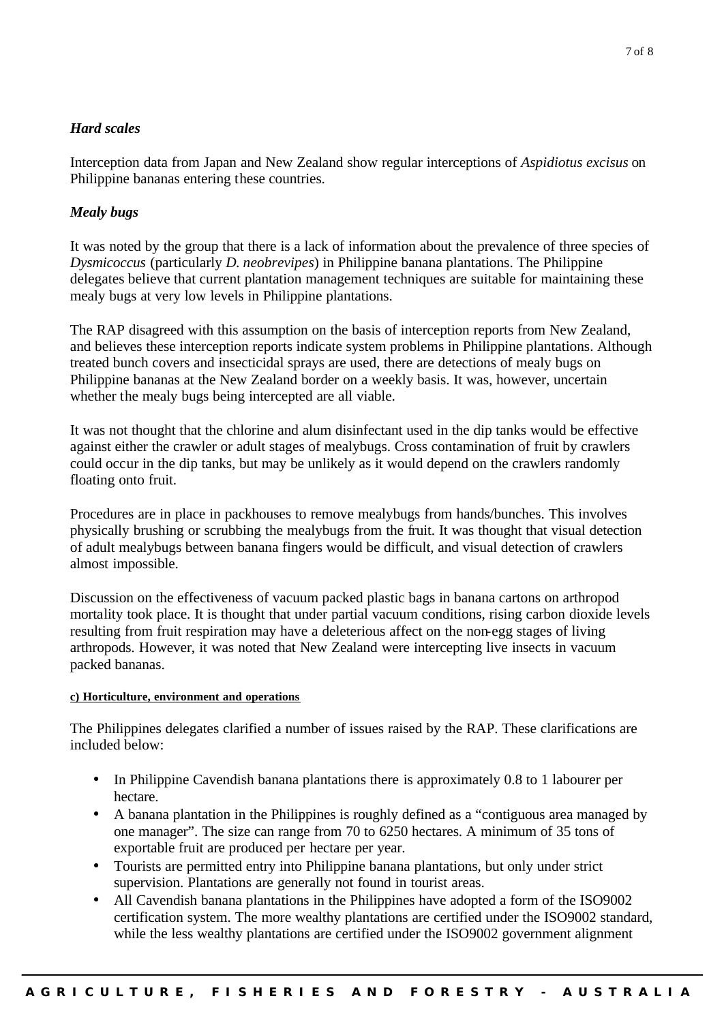# *Hard scales*

Interception data from Japan and New Zealand show regular interceptions of *Aspidiotus excisus* on Philippine bananas entering these countries.

# *Mealy bugs*

It was noted by the group that there is a lack of information about the prevalence of three species of *Dysmicoccus* (particularly *D*. *neobrevipes*) in Philippine banana plantations. The Philippine delegates believe that current plantation management techniques are suitable for maintaining these mealy bugs at very low levels in Philippine plantations.

The RAP disagreed with this assumption on the basis of interception reports from New Zealand, and believes these interception reports indicate system problems in Philippine plantations. Although treated bunch covers and insecticidal sprays are used, there are detections of mealy bugs on Philippine bananas at the New Zealand border on a weekly basis. It was, however, uncertain whether the mealy bugs being intercepted are all viable.

It was not thought that the chlorine and alum disinfectant used in the dip tanks would be effective against either the crawler or adult stages of mealybugs. Cross contamination of fruit by crawlers could occur in the dip tanks, but may be unlikely as it would depend on the crawlers randomly floating onto fruit.

Procedures are in place in packhouses to remove mealybugs from hands/bunches. This involves physically brushing or scrubbing the mealybugs from the fruit. It was thought that visual detection of adult mealybugs between banana fingers would be difficult, and visual detection of crawlers almost impossible.

Discussion on the effectiveness of vacuum packed plastic bags in banana cartons on arthropod mortality took place. It is thought that under partial vacuum conditions, rising carbon dioxide levels resulting from fruit respiration may have a deleterious affect on the non-egg stages of living arthropods. However, it was noted that New Zealand were intercepting live insects in vacuum packed bananas.

#### **c) Horticulture, environment and operations**

The Philippines delegates clarified a number of issues raised by the RAP. These clarifications are included below:

- In Philippine Cavendish banana plantations there is approximately 0.8 to 1 labourer per hectare.
- A banana plantation in the Philippines is roughly defined as a "contiguous area managed by one manager". The size can range from 70 to 6250 hectares. A minimum of 35 tons of exportable fruit are produced per hectare per year.
- Tourists are permitted entry into Philippine banana plantations, but only under strict supervision. Plantations are generally not found in tourist areas.
- All Cavendish banana plantations in the Philippines have adopted a form of the ISO9002 certification system. The more wealthy plantations are certified under the ISO9002 standard, while the less wealthy plantations are certified under the ISO9002 government alignment